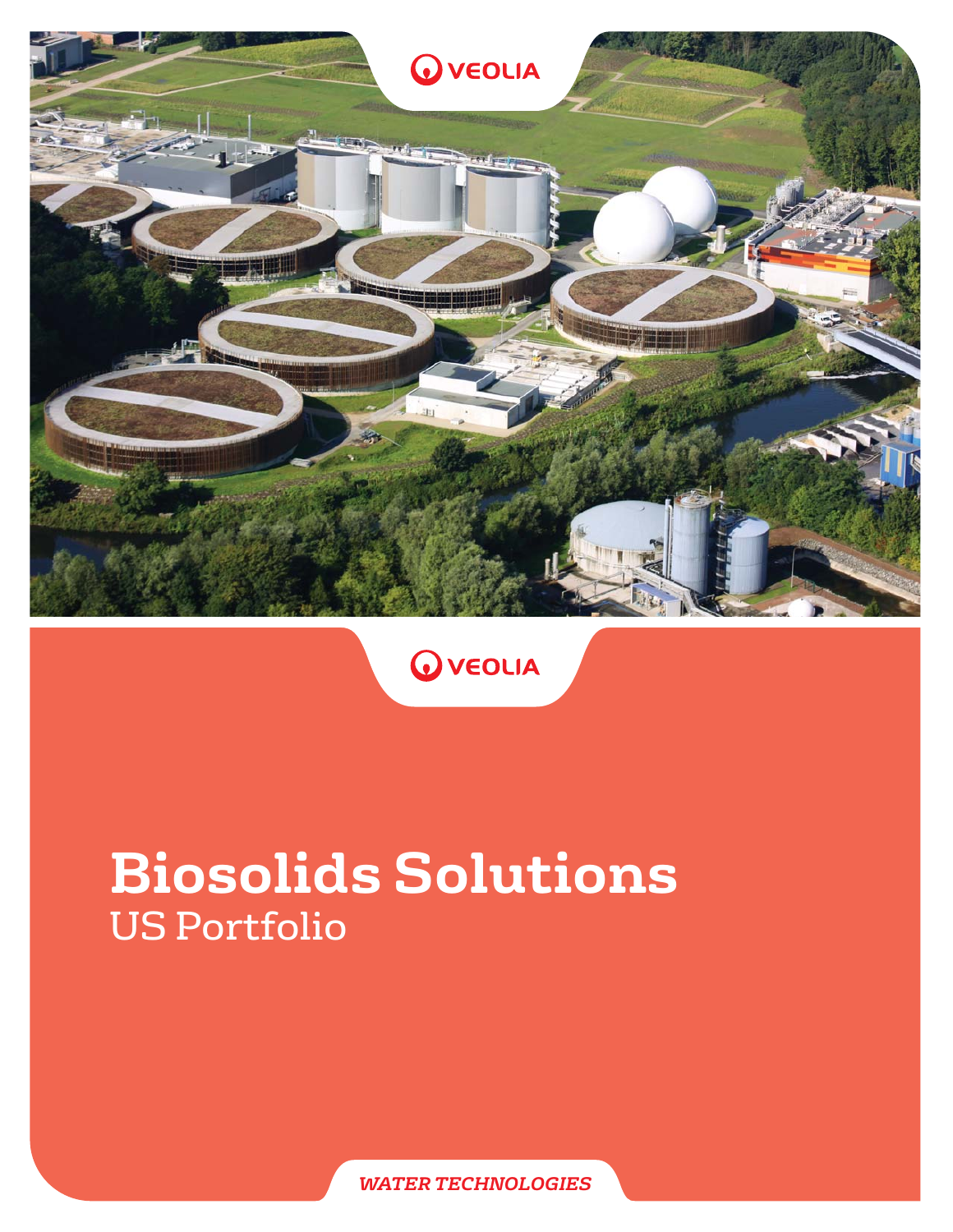



# **Biosolids Solutions** US Portfolio

*WATER TECHNOLOGIES*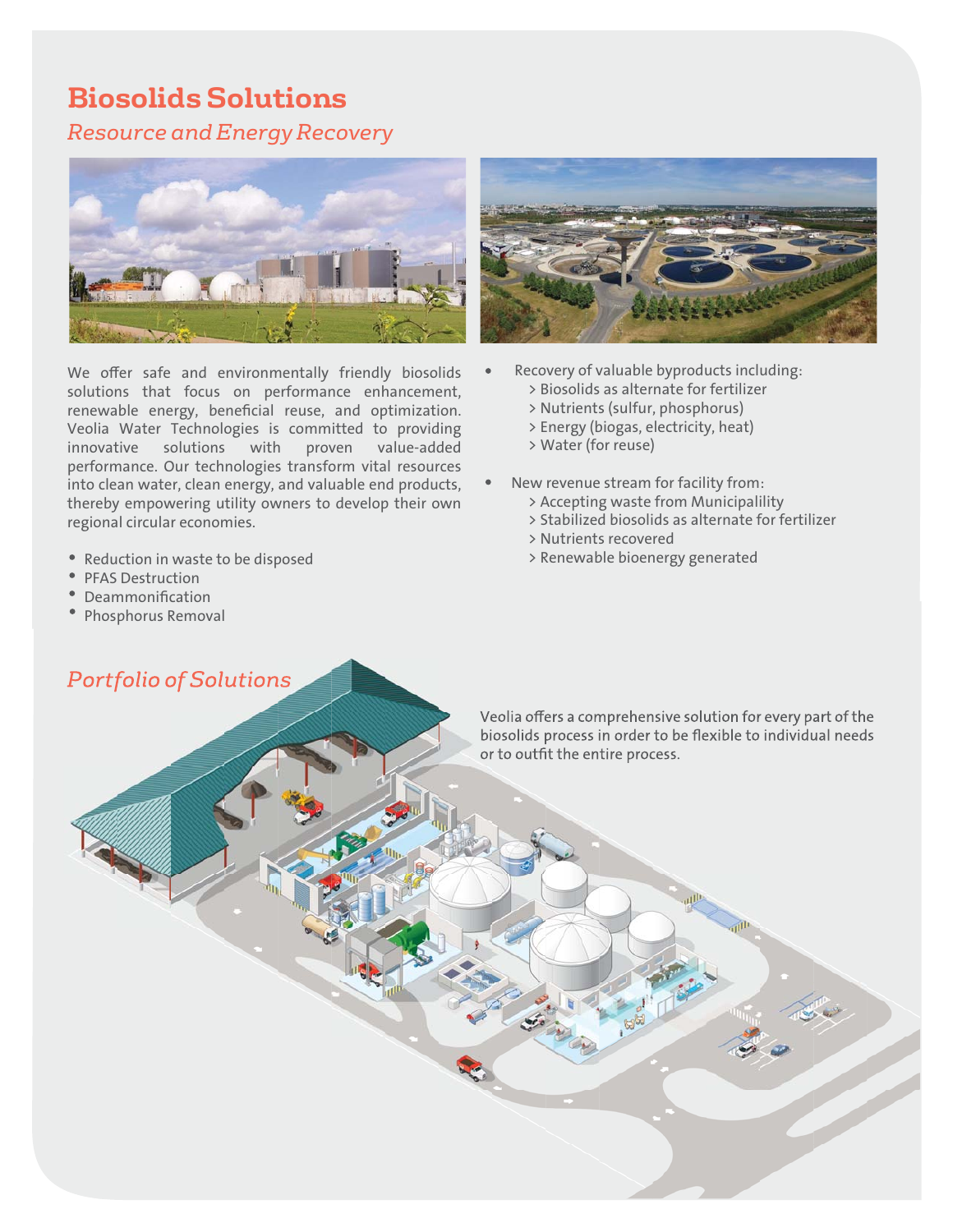### **Biosolids Solutions**

*Resource and Energy Recovery*



We offer safe and environmentally friendly biosolids solutions that focus on performance enhancement, renewable energy, beneficial reuse, and optimization. Veolia Water Technologies is committed to providing innovative solutions with proven value-added performance. Our technologies transform vital resources into clean water, clean energy, and valuable end products, thereby empowering utility owners to develop their own regional circular economies.

- Reduction in waste to be disposed
- PFAS Destruction
- Deammonification
- Phosphorus Removal



- Recovery of valuable byproducts including:
	- > Biosolids as alternate for fertilizer
	- > Nutrients (sulfur, phosphorus)
	- > Energy (biogas, electricity, heat)
	- > Water (for reuse)
- New revenue stream for facility from:
	- > Accepting waste from Municipalility
	- > Stabilized biosolids as alternate for fertilizer
	- > Nutrients recovered
	- > Renewable bioenergy generated

*Portfolio of Solutions*

Veolia offers a comprehensive solution for every part of the biosolids process in order to be flexible to individual needs or to outfit the entire process.

Buffalo WWTP BioCon™ Dryer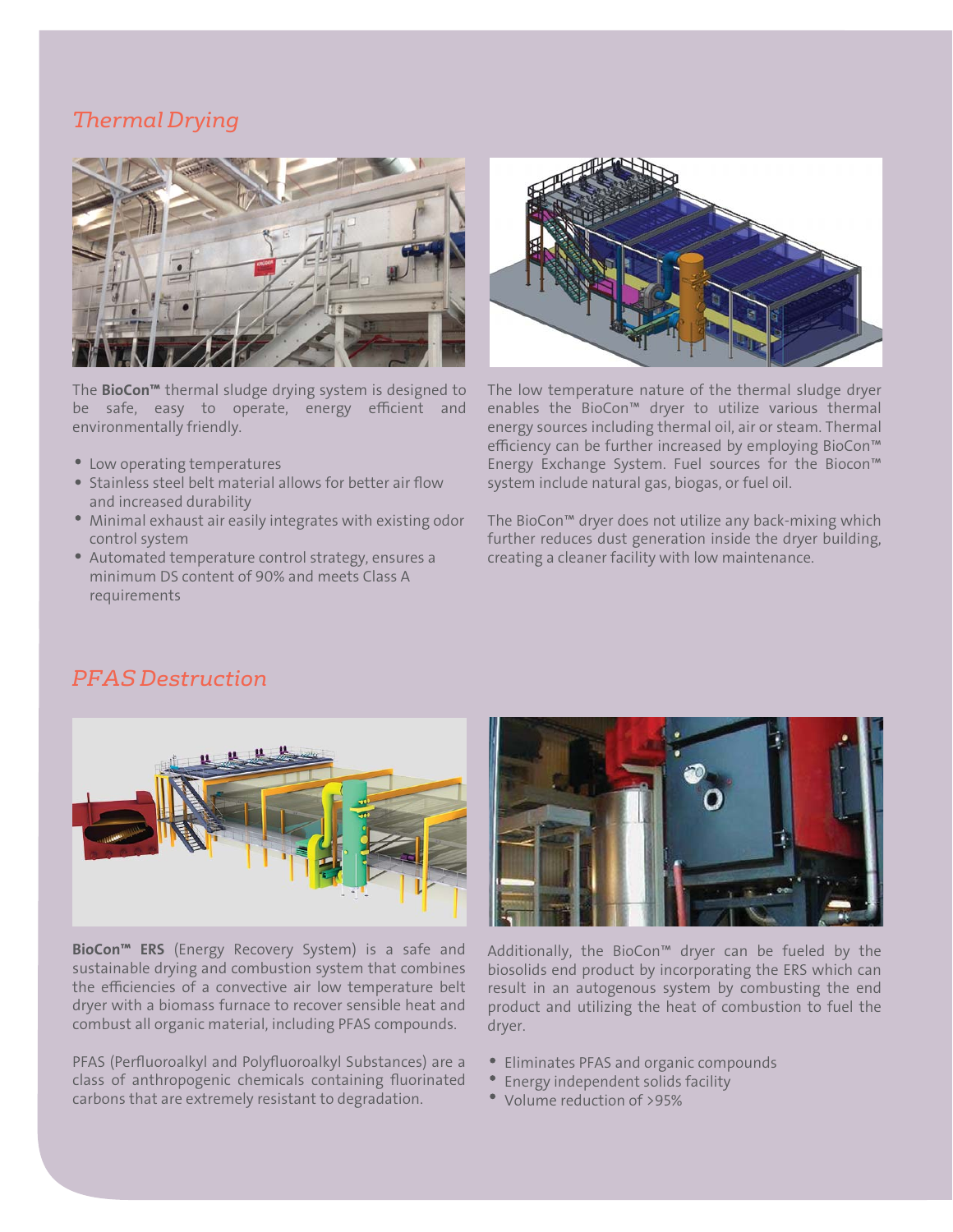#### *Thermal Drying*



The **BioCon<sup>™</sup>** thermal sludge drying system is designed to be safe, easy to operate, energy efficient and environmentally friendly.

- Low operating temperatures
- Stainless steel belt material allows for better air flow and increased durability
- Minimal exhaust air easily integrates with existing odor control system
- Automated temperature control strategy, ensures a minimum DS content of 90% and meets Class A requirements



The low temperature nature of the thermal sludge dryer enables the BioCon™ dryer to utilize various thermal energy sources including thermal oil, air or steam. Thermal efficiency can be further increased by employing BioCon™ Energy Exchange System. Fuel sources for the Biocon™ system include natural gas, biogas, or fuel oil.

The BioCon™ dryer does not utilize any back-mixing which further reduces dust generation inside the dryer building, creating a cleaner facility with low maintenance.

#### *PFAS Destruction*



BioCon<sup>™</sup> ERS (Energy Recovery System) is a safe and sustainable drying and combustion system that combines the efficiencies of a convective air low temperature belt dryer with a biomass furnace to recover sensible heat and combust all organic material, including PFAS compounds.

PFAS (Perfluoroalkyl and Polyfluoroalkyl Substances) are a class of anthropogenic chemicals containing fluorinated carbons that are extremely resistant to degradation.



Additionally, the BioCon™ dryer can be fueled by the biosolids end product by incorporating the ERS which can result in an autogenous system by combusting the end product and utilizing the heat of combustion to fuel the dryer.

- Eliminates PFAS and organic compounds
- Energy independent solids facility
- Volume reduction of >95%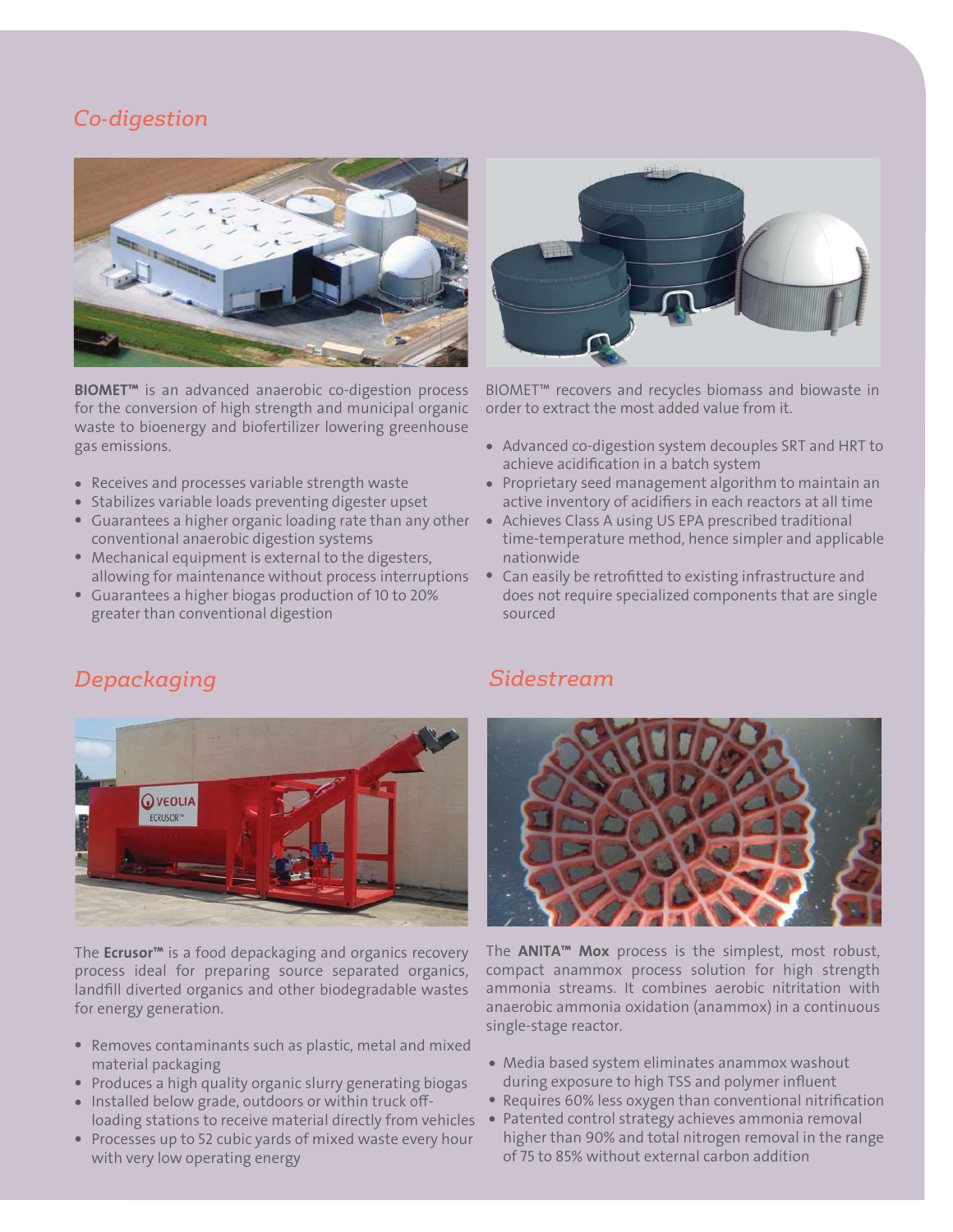#### *Co-digestion*

*Depackaging*



**BIOMET<sup>™</sup>** is an advanced anaerobic co-digestion process for the conversion of high strength and municipal organic waste to bioenergy and biofertilizer lowering greenhouse gas emissions.

- Receives and processes variable strength waste
- Stabilizes variable loads preventing digester upset
- Guarantees a higher organic loading rate than any other conventional anaerobic digestion systems
- Mechanical equipment is external to the digesters, allowing for maintenance without process interruptions
- Guarantees a higher biogas production of 10 to 20% greater than conventional digestion



BIOMET™ recovers and recycles biomass and biowaste in order to extract the most added value from it.

- Advanced co-digestion system decouples SRT and HRT to achieve acidification in a batch system
- Proprietary seed management algorithm to maintain an active inventory of acidifiers in each reactors at all time
- Achieves Class A using US EPA prescribed traditional time-temperature method, hence simpler and applicable nationwide
- Can easily be retrofitted to existing infrastructure and does not require specialized components that are single sourced



The **Ecrusor**<sup>™</sup> is a food depackaging and organics recovery process ideal for preparing source separated organics, landfill diverted organics and other biodegradable wastes for energy generation.

- Removes contaminants such as plastic, metal and mixed material packaging
- Produces a high quality organic slurry generating biogas
- Installed below grade, outdoors or within truck offloading stations to receive material directly from vehicles
- Processes up to 52 cubic yards of mixed waste every hour with very low operating energy

#### *Sidestream*



The ANITA™ Mox process is the simplest, most robust, compact anammox process solution for high strength ammonia streams. It combines aerobic nitritation with anaerobic ammonia oxidation (anammox) in a continuous single-stage reactor.

- Media based system eliminates anammox washout during exposure to high TSS and polymer influent
- Requires 60% less oxygen than conventional nitrification
- Patented control strategy achieves ammonia removal higher than 90% and total nitrogen removal in the range of 75 to 85% without external carbon addition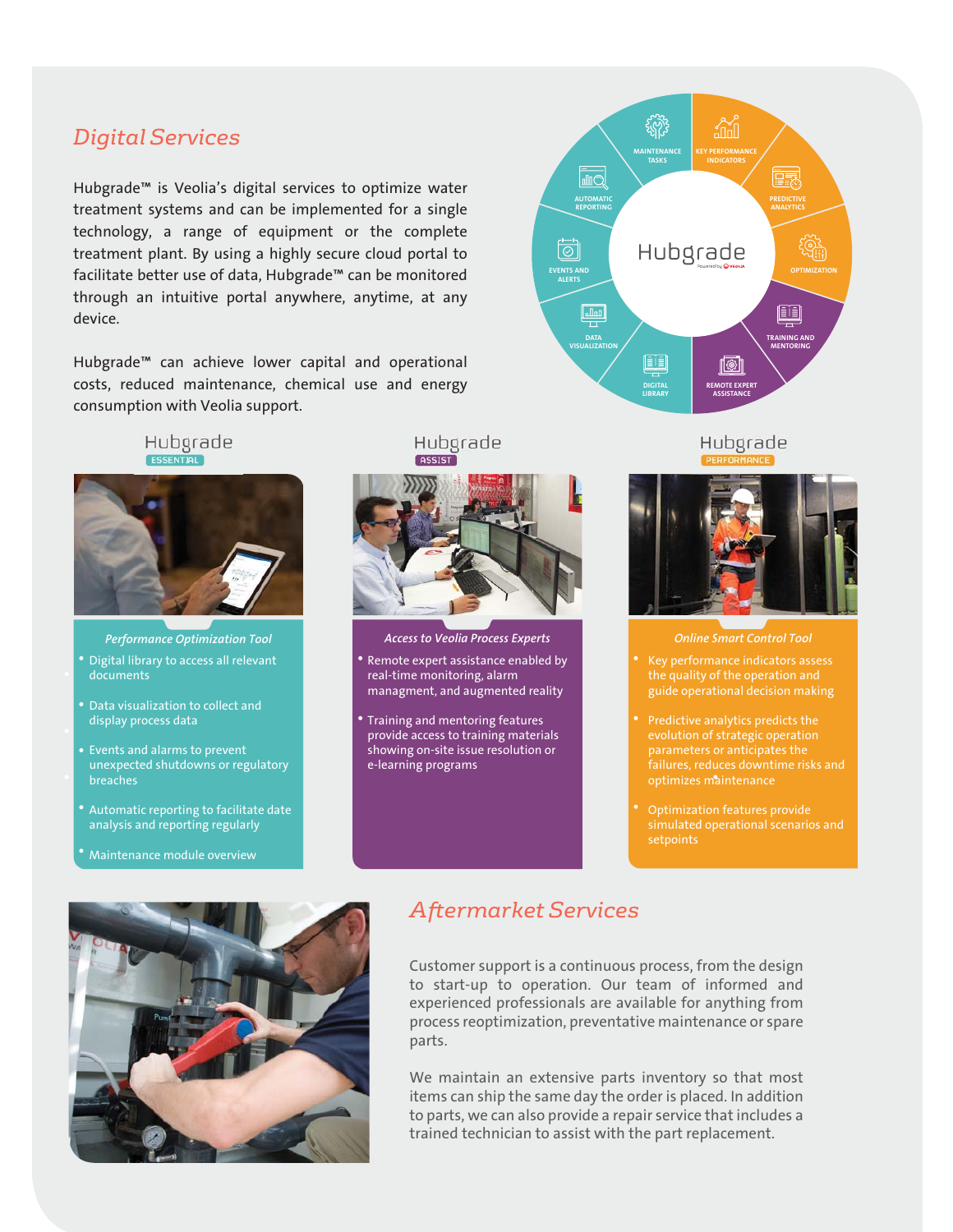## *Digital Services*

Hubgrade™ is Veolia's digital services to optimize water treatment systems and can be implemented for a single technology, a range of equipment or the complete treatment plant. By using a highly secure cloud portal to facilitate better use of data, Hubgrade™ can be monitored through an intuitive portal anywhere, anytime, at any device.

Hubgrade™ can achieve lower capital and operational costs, reduced maintenance, chemical use and energy consumption with Veolia support.

Hubgrade



Performance Optimization Tool

- Digital library to access all relevant documents
- display process data
- Events and alarms to prevent unexpected shutdowns or regulatory breaches
- Automatic reporting to facilitate date analysis and reporting regularly
- Maintenance module overview





Access to Veolia Process Experts

- Remote expert assistance enabled by real-time monitoring, alarm managment, and augmented reality
- Training and mentoring features provide access to training materials showing on-site issue resolution or e-learning programs

Hubgrade



Online Smart Control Tool

- Key performance indicators assess guide operational decision making
- evolution of strategic operation optimizes maintenance
- Optimization features provide simulated operational scenarios and



#### *Aftermarket Services*

Customer support is a continuous process, from the design to start-up to operation. Our team of informed and experienced professionals are available for anything from process reoptimization, preventative maintenance or spare parts.

We maintain an extensive parts inventory so that most items can ship the same day the order is placed. In addition to parts, we can also provide a repair service that includes a trained technician to assist with the part replacement.